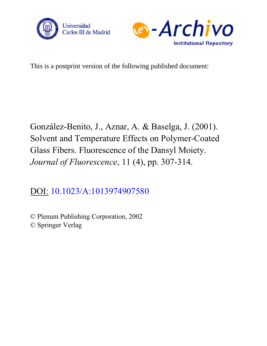



This is a postprint version of the following published document:

González-Benito, J., Aznar, A. & Baselga, J. (2001). Solvent and Temperature Effects on Polymer-Coated Glass Fibers. Fluorescence of the Dansyl Moiety. *Journal of Fluorescence*, 11 (4), pp. 307-314.

DOI: [10.1023/A:1013974907580](https://dx.doi.org/10.1023/A:1013974907580)

© Plenum Publishing Corporation, 2002 © Springer Verlag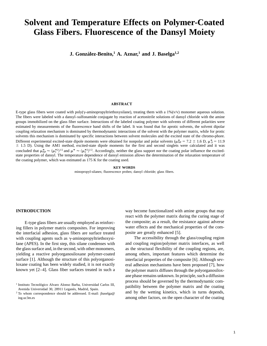## **Solvent and Temperature Effects on Polymer-Coated Glass Fibers. Fluorescence of the Dansyl Moiety**

**J. Gonza´lez-Benito,<sup>1</sup> A. Aznar,<sup>1</sup> and J. Baselga1,2**

## **ABSTRACT**

Different experimental excited-state dipole moments were obtained for nonpolar and polar solvents ( $\mu_{NP}^* = 7.2 \pm 1.6$  D,  $\mu_P^* = 11.9$ E-type glass fibers were coated with poly( $\gamma$ -aminopropyltriethoxysilane), treating them with a 1%( $v/v$ ) monomer aqueous solution. The fibers were labeled with a dansyl–sulfonamide conjugate by reaction of acetonitrile solutions of dansyl chloride with the amine groups immobilized on the glass fiber surface. Interactions of the labeled coating polymer with solvents of different polarities were estimated by measurements of the fluorescence band shifts of the label. It was found that for aprotic solvents, the solvent dipolar coupling relaxation mechanism is dominated by thermodynamic interactions of the solvent with the polymer matrix, while for protic solvents this mechanism is dominated by specific interactions between solvent molecules and the excited state of the chromo-phore.  $\pm$  1.5 D). Using the AM1 method, excited-state dipole moments for the first and second singlets were calculated and it was concluded that  $\mu_{NP}^* \approx \langle \mu_1^{*2} \rangle^{1/2}$  and  $\mu^* \approx \langle \mu_2^{*2} \rangle^{1/2}$ . Accordingly, neither the glass support nor the coating polar influence the excitedstate properties of dansyl. The temperature dependence of dansyl emission allows the determination of the relaxation temperature of the coating polymer, which was estimated as 175 K for the coating used.

### **KEY WORDS**

minopropyl-silanes; fluorescence probes; dansyl chloride; glass fibers.

the interfacial adhesion, glass fibers are surface treated posite are greatly enhanced [5]. with coupling agents such as y-aminopropyltriethoxysi-<br>The accessibility through the glass/coupling region

**INTRODUCTION** way become functionalized with amine groups that may react with the polymer matrix during the curing stage of E-type glass fibers are usually employed as reinforc- the composite; as a result, the resistance against adverse ing fillers in polymer matrix composites. For improving water effects and the mechanical properties of the com-

lane (APES). In the first step, this silane condenses with and coupling region/polymer matrix interfaces, as well the glass surface and, in the second, with other monomers, as the structural flexibility of the coupling regions, are, yielding a reactive polyorganosiloxane polymer-coated among others, important features which determine the surface [1]. Although the structure of this polyorganosi-<br>interfacial properties of the composite [6]. Although sevloxane coating has been widely studied, it is not exactly eral adhesion mechanisms have been proposed [7], how known yet  $[2-4]$ . Glass fiber surfaces treated in such a the polymer matrix diffuses through the polyorganosiloxane phase remains unknown. In principle, such a diffusion <sup>1</sup> Instituto Tecnológico Alvaro Alonso Barba, Universidad Carlos III,<br>Avenida Universidad 30, 28911 Leganés, Madrid, Spain.<br><sup>2</sup> To whom correspondence should be addressed E-mail: ibaselga@ and by the wetting kinetics, whi ing.uc3m.es among other factors, on the open character of the coating

 $2$  To whom correspondence should be addressed. E-mail: jbaselga@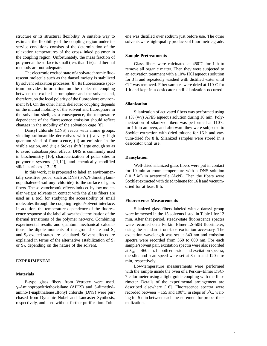service conditions consists of the determination of the relaxation temperatures of the cross-linked polymer in the coupling region. Unfortunately, the mass fraction of **Sample Pretreatments** polymer at the surface is small (less than 1%) and thermal Glass fibers were calcinated at 450°C for 1 h to methods are not adequate.

rescent molecule such as the dansyl moiety is stabilized for 3 h and repeatedly washed with distilled water until<br>by solvent relaxation processes [8]. Its fluorescence spec-<br> $Cl^-$  was removed Fiber samples were dried at 11 between the excited chromophore and the solvent and, therefore, on the local polarity of the fluorophore environment [9]. On the other hand, dielectric coupling depends **Silanization**

to avoid autoabsorption effects. DNS is commonly used in biochemistry [10], characterization of polar sites in **Dansylation** polymeric systems [11,12], and chemically modified

In this work, it is proposed to label an environmentally sensitive probe, such as DNS (5-N,N-dimethylami-<br>tally sensitive probe, such as DNS (5-N,N-dimethylami-<br>nophthalene-1-sulfonyl chloride), to the surface of glass<br>fi ular weight solvents in contact with the glass fibers are used as a tool for studying the accessibility of small **Fluorescence Measurements** molecules through the coupling region/solvent interface. In addition, the temperature dependence of the fluores- Silanized glass fibers labeled with a dansyl group explained in terms of the alternative estabilization of  $S_1$  or  $S_2$ , depending on the nature of the solvent.

g-Aminopropyltriethoxisilane (APES) and 5-dimethyl- described elsewhere [16]. Fluorescence spectra were amino-1-naphthalenesulfonyl chloride (DNS) were pur- recorded between  $-155$  and  $100^{\circ}$ C in steps of  $5^{\circ}$ C, waitchased from Dynamic Nobel and Lancaster Synthesis, ing for 5 min between each measurement for proper therrespectively, and used without further purification. Tolu- malization.

structure or its structural flexibility. A suitable way to ene was distilled over sodium just before use. The other estimate the flexibility of the coupling region under in- solvents were high-quality products of fluorimetric grade.

nods are not adequate.<br>The electronic excited state of a solvatochromic fluo-<br>an octivation trastment with a 10% HCl aguagus solution an activation treatment with a 10% HCl aqueous solution by solvent relaxation processes [8]. Its fluorescence spec-<br>trum provides information on the dielectric coupling  $\frac{1}{1}$  h and kent in a desiccator until silanization occurred 1 h and kept in a desiccator until silanization occurred.

on the mutual mobility of the solvent and fluorophore in<br>the solvation shell; as a consequence, the temperature<br>dependence of the fluorescence emission should reflect<br>changes in the mobility of the solvation cage [8].<br>Dans

polymeric surfaces [13–15].<br>In this work it is proposed to label an environment for 10 min at room temperature with a DNS solution

cence response of the label allows the determination of the were immersed in the 15 solvents listed in Table I for 12 thermal transitions of the polymer network. Combining min. After that period, steady-state fluorescence spectra experimental results and quantum mechanical calcula- were recorded on a Perkin–Elmer LS-50B fluorimeter, tions, the dipole moments of the ground state and  $S_1$  using the standard front-face excitation accessory. The and  $S_2$  excited states are calculated. Solvent effects are excitation wavelength was set at 340 nm and emission explained in terms of the alternative estabilization of  $S_1$  spectra were recorded from 360 to 600 nm. For sample/solvent pair, excitation spectra were also recorded at  $\lambda_{em}$  = 460 nm. In both emission and excitation spectra, the slits and scan speed were set at 3 nm and 120 nm/ **EXPERIMENTAL** min, respectively.

Low-temperature measurements were performed We with the sample inside the oven of a Perkin–Elmer DSC-<br>
7 calorimeter using a light guide coupling with the fluo-E-type glass fibers from Vetrotex were used. rimeter. Details of the experimental arrangement are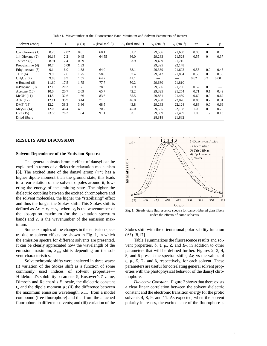| Solvent (code)         | δ     | ε    | $\mu$ (D) | Z (kcal mol <sup>-1</sup> ) | $E_T$ (kcal mol <sup>-1</sup> ) | $v_a$ (cm <sup>-1</sup> ) | $v_e$ (cm <sup>-1</sup> ) | $\pi^*$ | $\alpha$       | β        |
|------------------------|-------|------|-----------|-----------------------------|---------------------------------|---------------------------|---------------------------|---------|----------------|----------|
| Cyclohexane (1)        | 8.20  | 2.02 | 0.0       | 60.1                        | 31.2                            | 29,586                    | 21,668                    | 0.08    | $\Omega$       | $\Omega$ |
| $1,4-Dioxane(2)$       | 10.13 | 2.2  | 0.45      | 64.55                       | 36.0                            | 29,283                    | 21,528                    | 0.55    | $\overline{0}$ | 0.37     |
| Toluene (3)            | 8.91  | 2.4  | 0.39      |                             | 33.9                            | 29,499                    | 21,715                    |         |                |          |
| Propylamine (4)        | 10.7  | 5.08 | 1.33      |                             |                                 | 29,325                    | 22,148                    |         |                |          |
| Ethyl acetate (5)      | 9.1   | 6.0  | 1.88      | 64.0                        | 38.1                            | 29,369                    | 21,692                    | 0.55    | 0.0            | 0.45     |
| THF $(6)$              | 9.9   | 7.6  | 1.75      | 58.8                        | 37.4                            | 29,542                    | 21,834                    | 0.58    | $\Omega$       | 0.55     |
| $CH2Cl2$ (7)           | 9.88  | 8.9  | 1.55      | 64.2                        | 41.1                            |                           |                           | 0.82    | 0.3            | $0.00\,$ |
| $n$ -Butanol $(8)$     | 11.60 | 17.5 | 1.75      | 77.7                        | 50.2                            | 29,630                    | 21,810                    |         |                |          |
| $n$ -Propanol (9)      | 12.18 | 20.3 | 1.7       | 78.3                        | 51.9                            | 29,586                    | 21,786                    | 0.52    | 0.8            |          |
| Acetone $(10)$         | 10.0  | 20.7 | 2.69      | 65.7                        | 42.2                            | 29,325                    | 21,254                    | 0.71    | 0.1            | 0.49     |
| MeOH(11)               | 14.5  | 32.6 | 1.66      | 83.6                        | 55.5                            | 29,851                    | 21,459                    | 0.60    | 0.9            | 0.62     |
| AcN $(12)$             | 12.11 | 35.9 | 3.44      | 71.3                        | 46.0                            | 29,498                    | 22,026                    | 0.85    | 0.2            | 0.31     |
| DMF (13)               | 12.2  | 38.3 | 3.86      | 68.5                        | 43.8                            | 29,283                    | 22,124                    | 0.88    | 0.0            | 0.69     |
| Me <sub>2</sub> SO(14) | 12.0  | 46.4 | 4.3       | 70.2                        | 45.0                            | 29,585                    | 22,198                    | 1.00    | $\Omega$       | 0.76     |
| H <sub>2</sub> O(15)   | 23.53 | 78.3 | 1.84      | 91.1                        | 63.1                            | 29,369                    | 21,459                    | 1.09    | 1.2            | 0.18     |
| Dried fibers           |       |      |           |                             |                                 | 28,818                    | 21,882                    |         |                |          |

**Table I.** Wavenumber at the Fluorescence Band Maximum and Solvent Parameters of Interest

## **RESULTS AND DISCUSSION**

## **Solvent Dependence of the Emission Spectra**

The general solvatochromic effect of dansyl can be explained in terms of a dielectric relaxation mechanism [8]. The excited state of the dansyl group  $(\pi^*)$  has a higher dipole moment than the ground state; this leads to a reorientation of the solvent dipoles around it, lowering the energy of the emitting state. The higher the dielectric coupling between the excited chromophore and the solvent molecules, the higher the "stabilizing" effect and thus the longer the Stokes shift. This Stokes shift is defined as  $\Delta v = v_a - v_e$ , where  $v_a$  is the wavenumber of **Fig. 1.** Steady-state fluorescence spectra for dansyl-labeled glass fibers the absorption maximum (or the excitation spectrum under the effects of some solvents. band) and  $v_e$  is the wavenumber of the emission maximum.

tra due to solvent effects are shown in Fig. 1, in which  $(\Delta f)$  [8,17]. the emission spectra for different solvents are presented. Table I summarizes the fluorescence results and sol-

Hildebrand's solubility parameter δ, Kosower's *Z* value, mophore. Dimroth and Reichard's  $E_T$  scale, the dielectric constant *Dielectric Constant*. Figure 2 shows that there exists  $ε$ , and the dipole moment  $μ$ ; (ii) the difference between a clear linear correlation between the solvent dielectric the maximum emission wavelength,  $\lambda_{\text{max}}$ , from a model constant and the electronic transition energy for the protic compound (free fluorophore) and that from the attached solvents 4, 8, 9, and 11. As expected, when the solvent fluorophore in different solvents; and (iii) variation of the polarity increases, the excited state of the fluorophore is



Some examples of the changes in the emission spec- Stokes shift with the orientational polarizability function

It can be clearly appreciated how the wavelength of the vent properties,  $\delta$ ,  $\varepsilon$ ,  $\mu$ ,  $Z$ , and  $E_T$ , in addition to other emission maximum,  $\lambda_{em}$ , shifts depending on the sol-<br>parameters that will be defined further. Figures 2, 3, 4, vent characteristics.  $\frac{5}{7}$ , and 6 present the spectral shifts,  $\Delta v$ , vs the values of Solvatochromic shifts were analyzed in three ways:  $\epsilon$ ,  $\mu$ , *Z*,  $E$ <sub>T</sub>, and  $\delta$ , respectively, for each solvent. These (i) variation of the Stokes shift as a function of some parameters are useful for correlating general solvent propcommonly used indices of solvent properties— erties with the photophysical behavior of the dansyl chro-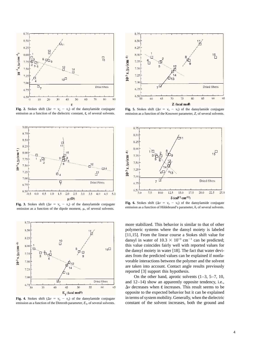

**Fig. 2.** Stokes shift ( $\Delta v = v_a - v_e$ ) of the dansylamide conjugate **Fig. 5.** Stokes shift ( $\Delta v = v_a - v_e$ ) of the dansylamide conjugate emission as a function of the Kosower parameter, Z, of several solvents.





emission as a function of the Dimroth parameter,  $E_T$ , of several solvents.



emission as a function of the Kosower parameter, *Z*, of several solvents.



**Fig. 3.** Stokes shift  $(\Delta v = v_a - v_e)$  of the dansylamide conjugate<br>emission as a function of the dipole moment,  $\mu$ , of several solvents.<br>emission as a function of the dipole moment,  $\mu$ , of several solvents.<br>emission as

more stabilized. This behavior is similar to that of other polymeric systems where the dansyl moiety is labeled [11,15]. From the linear course a Stokes shift value for dansyl in water of  $10.3 \times 10^{+3}$  cm<sup>-1</sup> can be predicted; this value coincides fairly well with reported values for the dansyl moiety in water [18]. The fact that water deviates from the predicted values can be explained if nonfavorable interactions between the polymer and the solvent are taken into account. Contact angle results previously reported [3] support this hypothesis.

On the other hand, aprotic solvents (1–3, 5–7, 10, and 12–14) show an apparently opposite tendency, i.e.,  $\Delta v$  decreases when  $\varepsilon$  increases. This result seems to be opposite to the expected behavior but it can be explained **Fig. 4.** Stokes shift ( $\Delta v = v_a - v_e$ ) of the dansylamide conjugate in terms of system mobility. Generally, when the dielectric emission as a function of the Dimroth parameter,  $E_T$ , of several solvents. constant of the sol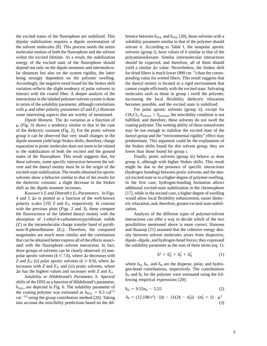the excited states of the fluorophore are stabilized. This ference between  $\delta_{\text{POL}}$  and  $\delta_{\text{SOL}}$  [20], those solvents with a dipolar stabilization requires a dipole reorientation of solubility parameter similar to that of the polymer should the solvent molecules [8]. This process needs the entire solvate it. According to Table I, the nonpolar aprotic molecular motion of both the fluorophore and the solvent solvents (group i), have values of  $\delta$  similar to that of the within the excited lifetime. As a result, the stabilization polyaminosiloxane. Similar intermolecular interactions energy of the excited state of the fluorophore should should be expected, and therefore, all of them should depend not only on the dipole moments and intermolecu-<br>yield a similar  $\Delta v$  value. Nevertheless, the Stokes shift lar distances but also on the system rigidity, the latter for dried fibers is much lower (900 cm<sup>-1</sup>) than the corresbeing strongly dependent on the polymer swelling. ponding value for wetted fibers. This result suggests that Accordingly, the negative trend found for the Stokes shift the dansyl moiety is located in a rigid environment that variation reflects the slight tendency of polar solvents to cannot couple efficiently with the excited state. Solvating interact with the coated fiber. A deeper analysis of the molecules such as those in group i swell the polymer, interactions in the labeled polymer/solvent system is done increasing the local flexibility, dielectric relaxation in terms of the solubility parameter, although correlations becomes possible, and the excited state is stabilized. with  $\mu$  and other polarity parameters (*Z* and  $E_T$ ) illustrate For polar aprotic solvents (group ii), except for

 $\mu$  (Fig. 3) shows a tendency similar to that in the case coating polymer. The wetting ability of these nonsolvents of the dielectric constant (Fig. 2). For the protic solvent may be not enough to stabilize the excited state of the group it can be observed that very small changes in the dansyl group and the "environmental rigidity" effect may dipole moment yield large Stokes shifts, therefore, charge predominate. This argument could be the explanation of separation in protic molecules does not seem to be related the Stokes shifts found for this solvent group; they are to the stabilization of both the excited and the ground lower than those found for group i. states of the fluorophore. This result suggests that, for Finally, protic solvents (group iii) behave as does these solvents, some specific interaction between the sol- group ii, although with higher Stokes shifts. This result vent and the dansyl moiety must be in the origin of the might be due to the presence of specific interactions excited-state stabilization. The results obtained for aprotic (hydrogen bonding) between protic solvents and the dansolvents show a behavior similar to that of the results for syl excited state or to a higher degree of polymer swelling. the dielectric constant: a slight decrease in the Stokes In the first case, hydrogen-bonding formation allows shift as the dipole moment increases.  $\blacksquare$  additional excited-state stabilization in the chromophore

4 and  $5 \Delta v$  is plotted as a function of the well-known would allow local flexibility enhancement, easier dielecpolarity scales [19]  $Z$  and  $E_T$ , respectively. In contrast tric relaxation, and, therefore, greater excited-state stabiliwith the previous plots (Figs. 2 and 3), these compare zation. the fluorescence of the labeled dansyl moiety with the Analysis of the different types of polymer/solvent absorption of 1-ethyl-4-carbometoxypyridinum iodide interactions can offer a way to decide which of the two (*Z*) or the intramolecular charge transfer band of pyridi- possibilities mentioned above is more correct. Hanssen num-*N*-phenolbetaine (*E*<sub>T</sub>). Therefore, the compared and Skaarup [21] assumed that the cohesive energy denmagnitudes are much more similar and the correlations sity between solvent molecules arises from dispersive, that can be obtained better express all of the effects associ- dipole–dipole, and hydrogen-bond forces; they expressed ated with the fluorophore–solvent interaction. In fact, the solubility parameter as the sum of three terms (eq. 1): three groups of solvents can be clearly observed: (i) nonpolar aprotic solvents ( $\varepsilon \le 7.6$ ), where  $\Delta v$  decreases with

 $\delta_{SOL}$ , are depicted in Fig. 6. The solubility parameter of the coating polymer was estimated as  $\delta_{POL} = 8.3 \text{ cal}^{1/2}$  $\text{cm}^{-3/2}$  using the group contribution method [20]. Taking into account the miscibility predictions based on the dif-

some interesting aspects that are worthy of mentioned.  $CH_2Cl_2$ ,  $\delta_{\text{solvent}} > \delta_{\text{polymer}}$ , the miscibility condition is not *Dipole Moment.* The  $\Delta v$  variation as a function of fulfilled, and therefore, these solvents do not swell the

*Kosower's* Z *and Dimroth's*  $E_T$  *Parameters.* In Figs. [17], while in the second case, a higher degree of swelling

$$
\delta^2 = \delta_{\rm D}^2 + \delta_{\rm P}^2 + \delta_{\rm H}^2 \tag{1}
$$

Z and  $E_T$ ; (ii) polar aprotic solvents ( $\varepsilon \ge 8.9$ ), where  $\Delta v$ <br>increases with Z and  $E_T$ ; and (iii) protic solvents, where  $\delta_D$ ,  $\delta_P$ , and  $\delta_H$  are the disperse, polar, and hydro-<br> $\Delta v$  has the highest values and i

$$
\delta_{\rm D} = 9.55n_{\rm D} - 5.55\tag{2}
$$

$$
\delta_{\rm P} = (12,108/v^2) \cdot [(\varepsilon - 1)/(2\varepsilon - n_{\rm D}^2)] \cdot (n_{\rm D}^2 + 2) \cdot \mu^2
$$
\n(3)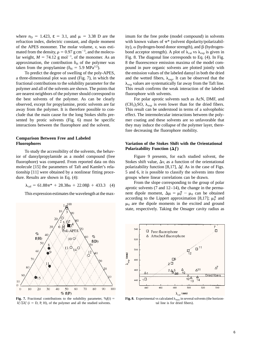refraction index, dielectric constant, and dipole moment with known values of  $\pi^*$  (solvent dipolarity/polarizabilof the APES monomer. The molar volume,  $v$ , was esti-ity),  $\alpha$  (hydrogen-bond donor strength), and  $\beta$  (hydrogenmated from the density,  $\rho = 0.97$  g cm<sup>-3</sup>, and the molecular weight,  $M = 74.12$  g mol<sup>-1</sup>, of the monomer. As an approximation, the contribution  $\delta_H$  of the polymer was 8 the fluorescence emission maxima of the model com-<br>taken from the propylamine ( $\delta_H = 5.9 \text{ MPa}^{1/2}$ ).

a three-dimensional plot was used (Fig. 7), in which the and the wetted fibers,  $\lambda_{exp}$ . It can be observed that the fractional contributions to the solubility parameter for the  $\lambda_{\exp}$  values are systematically far away from the Taft line. polymer and all of the solvents are shown. The points that This result confirms the weak interaction of the labeled are nearest neighbors of the polymer should correspond to fluorophore with solvents. the best solvents of the polymer. As can be clearly For polar aprotic solvents such as AcN, DMF, and

# **Comparison Between Free and Labeled**

To study the accessibility of the solvents, the behav-<br>**Polarizability Function**  $(\Delta f)$ ior of dansylpropylamide as a model compound (free Figure 9 presents, for each studied solvent, the fluorophore) was compared. From reported data on this Stokes shift value,  $\Delta v$ , as a function of the orientational molecule [15] the parameters of Taft and Kamlet's rela-<br>polarizability function [8,17],  $\Delta f$ . As in the case of Figs. tionship [11] were obtained by a nonlinear fitting proce- 5 and 6, it is possible to classify the solvents into three dure. Results are shown in Eq. (4): groups where linear correlations can be drawn.





where  $n_D = 1.423$ ,  $\varepsilon = 3.1$ , and  $\mu = 3.38$  D are the imum for the free probe (model compound) in solvents bond acceptor strength). A plot of  $\lambda_{cal}$  vs  $\lambda_{exp}$  is given in Fig. 8. The diagonal line corresponds to Eq.  $(4)$ . In Fig. pound in pure organic solvents are plotted jointly with To predict the degree of swelling of the poly-APES, the emission values of the labeled dansyl in both the dried

observed, except for propylamine, protic solvents are far  $(CH_3)_2SO$ ,  $\lambda_{exp}$  is even lower than for the dried fibers. away from the polymer. It is therefore possible to con- This result can be understood in terms of a solvophobic clude that the main cause for the long Stokes shifts pre- effect. The intermolecular interactions between the polysented by protic solvents (Fig. 6) must be specific mer coating and these solvents are so unfavorable that interactions between the fluorophore and the solvent. they may induce the collapse of the polymer layer, therefore decreasing the fluorophore mobility.

# **Fluorophores Variation of the Stokes Shift with the Orientational**

 $\lambda_{\text{cal}} = 61.88\pi^* + 28.38\alpha + 22.08\beta + 433.3$  (4) From the slope corresponding to the group of polar aprotic solvents (7 and 12–14), the change in the perma-This expression estimates the wavelength at the max- nent dipole moment,  $\Delta \mu = \mu_0^* - \mu_0$  can be obtained according to the Lippert approximation [8,17];  $\mu_P^*$  and  $\mu_0$  are the dipole moments in the excited and ground state, respectively. Taking the Onsager cavity radius as



 $\lambda_{\rm cal}$  (nm)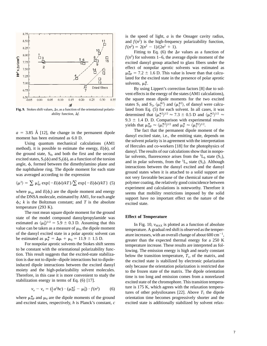

$$
\langle \mu^2 \rangle = \sum \mu_{\phi i}^2 \exp\{-E(\phi i)/kT\}/\sum \exp\{-E(\phi i)/kT\} \quad (5)
$$

temperature (293 K).

The root mean square dipole moment for the ground state of the model compound dansylpropylamide was **Effect of Temperature** estimated as  $\langle \mu_0^2 \rangle$ estimated as  $\langle \mu_0^2 \rangle^{1/2} = 5.9 \pm 0.3$  D. Assuming that this <br>value can be taken as a measure of  $\mu_0$ , the dipole moment<br>of the dansyl excited state in a polar aprotic solvent can<br>of the dansyl excited state in a pol

$$
v_{\rm a} - v_{\rm e} = (\frac{1}{2}a^3 hc) \cdot (\mu_{\rm NP}^{*2} - \mu_0^2) \cdot f(n^2)
$$
 (6)

is the speed of light, *a* is the Onsager cavity radius, and  $f(n^2)$  is the high-frequency polarizability function,  $f(n^2) = 2(n^2 - 1)/(2n^2 + 1).$ 

Fitting to Eq. (6) the  $\Delta v$  values as a function of  $f(n^2)$  for solvents 1–6, the average dipole moment of the excited dansyl group attached to glass fibers under the effect of nonpolar aprotic solvents was estimated as  $\mu_{\text{NP}}^* = 7.2 \pm 1.6$  D. This value is lower than that calculated for the excited state in the presence of polar aprotic solvents,  $\mu_P^*$ .

By using Lippert's correction factors [8] due to solvent effects in the energy of the states (AM1 calculations), the square mean dipole moments for the two excited states S<sub>1</sub> and S<sub>2</sub>,  $\langle \mu_1^{*2} \rangle$  and  $\langle \mu_2^{*2} \rangle$ , of dansyl were calcu-Fig. 9. Stokes shift values, Δv, as a function of the orientational polariz-<br>lated from Eq. (5) for each solvent. In all cases, it was ability function,  $\Delta f$ .<br>determined that  $\langle \mu_1^{*2} \rangle^{1/2} \approx 7.3 \pm 0.5$  D and  $\langle \mu_2^{*2} \rangle^{1/2} \approx$ 9.3  $\pm$  1.4 D. D. Comparison with experimental results yields that  $\mu_{\text{NP}}^* \approx \langle \mu_1^{*2} \rangle^{1/2}$  and  $\mu_P^* \approx \langle \mu_2^{*2} \rangle^{1/2}$ .

 $a = 3.85$  Å [12], the change in the permanent dipole<br>moment has been estimated as 6.0 D.<br>Using quantum mechanical calculations (AM1) the solvent polarity is in agreement with the interpretation<br>method), it is possible to the ground state,  $S_0$ , and both the first and the second<br>excited states,  $S_1(\phi)$  and  $S_2(\phi)$ , as a function of the torsion<br>angle,  $\phi$ , formed between the dimethylamino plane and<br>and in polar solvents, from the <sup>1</sup>L<sub>a</sub> the naphthalene ring. The dipole moment for each state<br>was averaged according to the expression<br>was averaged according to the expression<br>not very favorable because of the chemical nature of the polymer coating, the relatively good coincidence between where  $\mu_{\phi i}$  and  $E(\phi_i)$  are the dipole moment and energy<br>of the DNSA molecule, estimated by AM1, for each angle<br> $\phi_i$ ; k is the Boltzman constant; and T is the absolute<br> $\phi_i$  and T is the absolute

of the dansyl excited state in a polar aprotic solvent can<br>be estimated as  $\mu_p^* = \Delta \mu + \mu_0 = 11.9 \pm 1.5 \text{ D}$ .<br>originated the expected thermal energy for a 250 K be estimated as  $\mu_{\rm P}^* = \Delta \mu + \mu_0 = 11.9 \pm 1.5 \text{ D.}$ <br>For nonpolar aprotic solvents the Stokes shift seems<br>to be constant with the orientational polarizability func-<br>tion. This result suggests that the excited-state sta tion is due not to dipole-dipole interactions but to dipole-<br>induced dipole interactions between the excited dansyl<br>moiety and the high-polarizability solvent molecules.<br>Therefore, in this case it is more convenient to stu ture is 175 K, which agrees with the relaxation temperatures of other polysiloxanes [22]. Above  $T_1$  the dipole where  $\mu_{NP}^*$  and  $\mu_0$  are the dipole moments of the ground orientation time becomes progressively shorter and the and excited states, respectively, *h* is Planck's constant, *c* excited state is additionally stabilized by solvent relax-